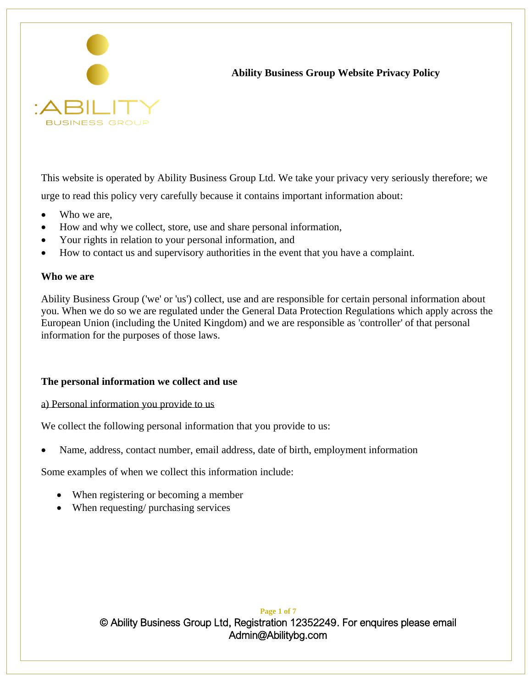

# **Ability Business Group Website Privacy Policy**

This website is operated by Ability Business Group Ltd. We take your privacy very seriously therefore; we urge to read this policy very carefully because it contains important information about:

- Who we are,
- How and why we collect, store, use and share personal information,
- Your rights in relation to your personal information, and
- How to contact us and supervisory authorities in the event that you have a complaint.

#### **Who we are**

Ability Business Group ('we' or 'us') collect, use and are responsible for certain personal information about you. When we do so we are regulated under the General Data Protection Regulations which apply across the European Union (including the United Kingdom) and we are responsible as 'controller' of that personal information for the purposes of those laws.

### **The personal information we collect and use**

a) Personal information you provide to us

We collect the following personal information that you provide to us:

• Name, address, contact number, email address, date of birth, employment information

Some examples of when we collect this information include:

- When registering or becoming a member
- When requesting/ purchasing services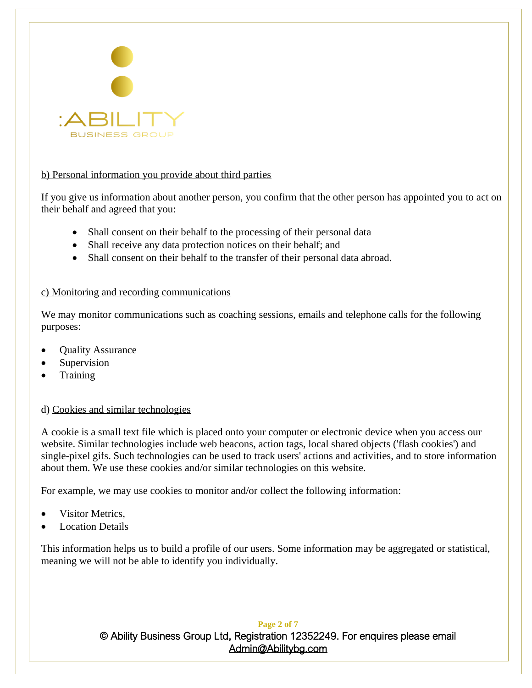

### b) Personal information you provide about third parties

If you give us information about another person, you confirm that the other person has appointed you to act on their behalf and agreed that you:

- Shall consent on their behalf to the processing of their personal data
- Shall receive any data protection notices on their behalf; and
- Shall consent on their behalf to the transfer of their personal data abroad.

### c) Monitoring and recording communications

We may monitor communications such as coaching sessions, emails and telephone calls for the following purposes:

- Quality Assurance
- **Supervision**
- **Training**

## d) Cookies and similar technologies

A cookie is a small text file which is placed onto your computer or electronic device when you access our website. Similar technologies include web beacons, action tags, local shared objects ('flash cookies') and single-pixel gifs. Such technologies can be used to track users' actions and activities, and to store information about them. We use these cookies and/or similar technologies on this website.

For example, we may use cookies to monitor and/or collect the following information:

- Visitor Metrics.
- **Location Details**

This information helps us to build a profile of our users. Some information may be aggregated or statistical, meaning we will not be able to identify you individually.

### **Page 2 of 7**

© Ability Business Group Ltd, Registration 12352249. For enquires please email [Admin@Abilitybg.com](mailto:Admin@Abilitybg.com) 

ı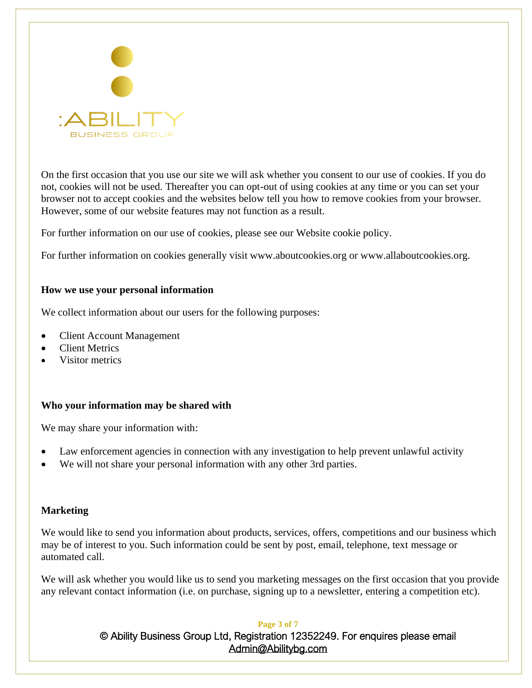

On the first occasion that you use our site we will ask whether you consent to our use of cookies. If you do not, cookies will not be used. Thereafter you can opt-out of using cookies at any time or you can set your browser not to accept cookies and the websites below tell you how to remove cookies from your browser. However, some of our website features may not function as a result.

For further information on our use of cookies, please see our Website cookie policy.

For further information on cookies generally visit www.aboutcookies.org or www.allaboutcookies.org.

### **How we use your personal information**

We collect information about our users for the following purposes:

- Client Account Management
- **Client Metrics**
- Visitor metrics

### **Who your information may be shared with**

We may share your information with:

- Law enforcement agencies in connection with any investigation to help prevent unlawful activity
- We will not share your personal information with any other 3rd parties.

### **Marketing**

We would like to send you information about products, services, offers, competitions and our business which may be of interest to you. Such information could be sent by post, email, telephone, text message or automated call.

We will ask whether you would like us to send you marketing messages on the first occasion that you provide any relevant contact information (i.e. on purchase, signing up to a newsletter, entering a competition etc).

#### **Page 3 of 7**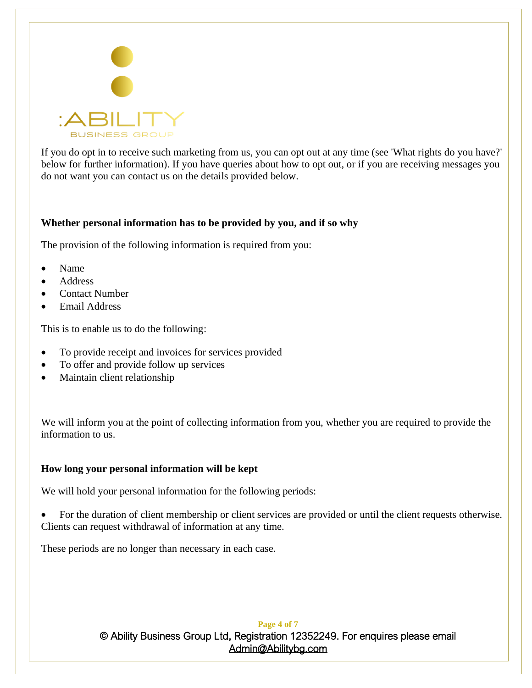

If you do opt in to receive such marketing from us, you can opt out at any time (see 'What rights do you have?' below for further information). If you have queries about how to opt out, or if you are receiving messages you do not want you can contact us on the details provided below.

### **Whether personal information has to be provided by you, and if so why**

The provision of the following information is required from you:

- Name
- Address
- Contact Number
- Email Address

This is to enable us to do the following:

- To provide receipt and invoices for services provided
- To offer and provide follow up services
- Maintain client relationship

We will inform you at the point of collecting information from you, whether you are required to provide the information to us.

## **How long your personal information will be kept**

We will hold your personal information for the following periods:

• For the duration of client membership or client services are provided or until the client requests otherwise. Clients can request withdrawal of information at any time.

These periods are no longer than necessary in each case.

**Page 4 of 7** © Ability Business Group Ltd, Registration 12352249. For enquires please email [Admin@Abilitybg.com](mailto:Admin@Abilitybg.com) 

ı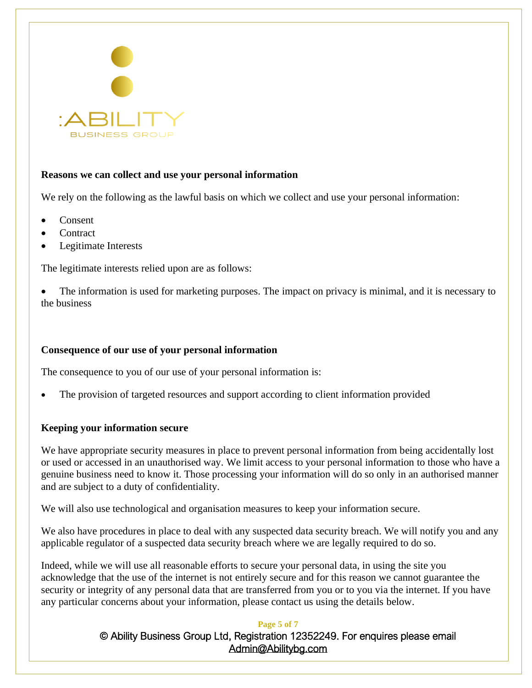

## **Reasons we can collect and use your personal information**

We rely on the following as the lawful basis on which we collect and use your personal information:

- Consent
- **Contract**
- Legitimate Interests

The legitimate interests relied upon are as follows:

The information is used for marketing purposes. The impact on privacy is minimal, and it is necessary to the business

### **Consequence of our use of your personal information**

The consequence to you of our use of your personal information is:

The provision of targeted resources and support according to client information provided

### **Keeping your information secure**

We have appropriate security measures in place to prevent personal information from being accidentally lost or used or accessed in an unauthorised way. We limit access to your personal information to those who have a genuine business need to know it. Those processing your information will do so only in an authorised manner and are subject to a duty of confidentiality.

We will also use technological and organisation measures to keep your information secure.

We also have procedures in place to deal with any suspected data security breach. We will notify you and any applicable regulator of a suspected data security breach where we are legally required to do so.

Indeed, while we will use all reasonable efforts to secure your personal data, in using the site you acknowledge that the use of the internet is not entirely secure and for this reason we cannot guarantee the security or integrity of any personal data that are transferred from you or to you via the internet. If you have any particular concerns about your information, please contact us using the details below.

#### **Page 5 of 7**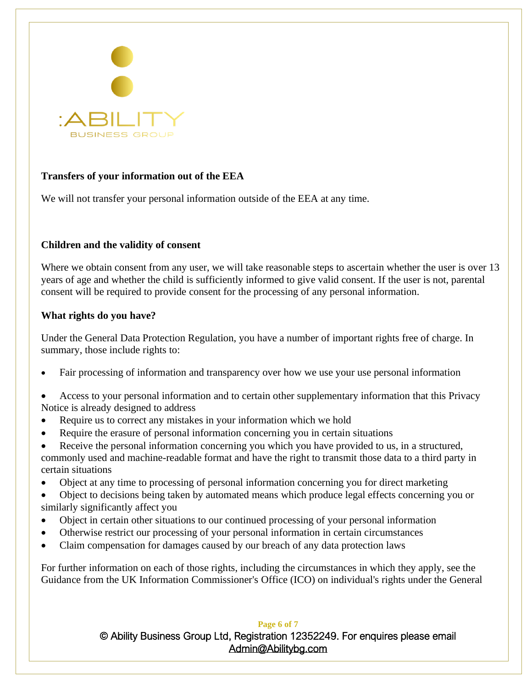

# **Transfers of your information out of the EEA**

We will not transfer your personal information outside of the EEA at any time.

## **Children and the validity of consent**

Where we obtain consent from any user, we will take reasonable steps to ascertain whether the user is over 13 years of age and whether the child is sufficiently informed to give valid consent. If the user is not, parental consent will be required to provide consent for the processing of any personal information.

### **What rights do you have?**

Under the General Data Protection Regulation, you have a number of important rights free of charge. In summary, those include rights to:

- Fair processing of information and transparency over how we use your use personal information
- Access to your personal information and to certain other supplementary information that this Privacy Notice is already designed to address
- Require us to correct any mistakes in your information which we hold
- Require the erasure of personal information concerning you in certain situations
- Receive the personal information concerning you which you have provided to us, in a structured, commonly used and machine-readable format and have the right to transmit those data to a third party in certain situations
- Object at any time to processing of personal information concerning you for direct marketing
- Object to decisions being taken by automated means which produce legal effects concerning you or similarly significantly affect you
- Object in certain other situations to our continued processing of your personal information
- Otherwise restrict our processing of your personal information in certain circumstances
- Claim compensation for damages caused by our breach of any data protection laws

For further information on each of those rights, including the circumstances in which they apply, see the Guidance from the UK Information Commissioner's Office (ICO) on individual's rights under the General

#### **Page 6 of 7**